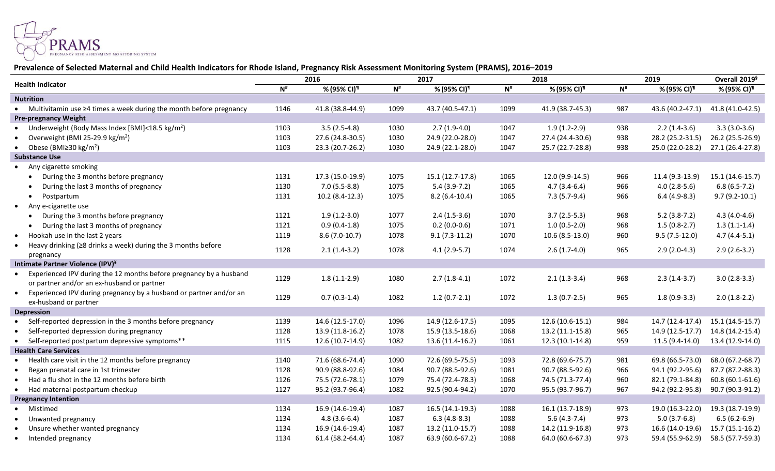

## **Prevalence of Selected Maternal and Child Health Indicators for Rhode Island, Pregnancy Risk Assessment Monitoring System (PRAMS), 2016–2019**

| <b>Health Indicator</b>                                                    | 2016                        |                  | 2017                     |                         | 2018                        |                         | 2019                     |                  | Overall 2019 <sup>§</sup> |
|----------------------------------------------------------------------------|-----------------------------|------------------|--------------------------|-------------------------|-----------------------------|-------------------------|--------------------------|------------------|---------------------------|
|                                                                            | $\mathbf{N}^{\text{\tt\#}}$ | % (95% CI)¶      | $\mathbf{N}^{\text{\#}}$ | % (95% CI) <sup>¶</sup> | $\mathbf{N}^{\text{\tt\#}}$ | % (95% CI) <sup>¶</sup> | $\mathbf{N}^{\text{\#}}$ | % (95% CI)¶      | % (95% CI) <sup>¶</sup>   |
| <b>Nutrition</b>                                                           |                             |                  |                          |                         |                             |                         |                          |                  |                           |
| • Multivitamin use $\geq 4$ times a week during the month before pregnancy | 1146                        | 41.8 (38.8-44.9) | 1099                     | 43.7 (40.5-47.1)        | 1099                        | 41.9 (38.7-45.3)        | 987                      | 43.6 (40.2-47.1) | 41.8 (41.0-42.5)          |
| <b>Pre-pregnancy Weight</b>                                                |                             |                  |                          |                         |                             |                         |                          |                  |                           |
| Underweight (Body Mass Index [BMI]<18.5 kg/m <sup>2</sup> )                | 1103                        | $3.5(2.5-4.8)$   | 1030                     | $2.7(1.9-4.0)$          | 1047                        | $1.9(1.2-2.9)$          | 938                      | $2.2(1.4-3.6)$   | $3.3(3.0-3.6)$            |
| Overweight (BMI 25-29.9 kg/m <sup>2</sup> )                                | 1103                        | 27.6 (24.8-30.5) | 1030                     | 24.9 (22.0-28.0)        | 1047                        | 27.4 (24.4-30.6)        | 938                      | 28.2 (25.2-31.5) | 26.2 (25.5-26.9)          |
| • Obese (BMI $\geq$ 30 kg/m <sup>2</sup> )                                 | 1103                        | 23.3 (20.7-26.2) | 1030                     | 24.9 (22.1-28.0)        | 1047                        | 25.7 (22.7-28.8)        | 938                      | 25.0 (22.0-28.2) | 27.1 (26.4-27.8)          |
| <b>Substance Use</b>                                                       |                             |                  |                          |                         |                             |                         |                          |                  |                           |
| • Any cigarette smoking                                                    |                             |                  |                          |                         |                             |                         |                          |                  |                           |
| During the 3 months before pregnancy                                       | 1131                        | 17.3 (15.0-19.9) | 1075                     | 15.1 (12.7-17.8)        | 1065                        | 12.0 (9.9-14.5)         | 966                      | 11.4 (9.3-13.9)  | 15.1 (14.6-15.7)          |
| During the last 3 months of pregnancy                                      | 1130                        | $7.0(5.5-8.8)$   | 1075                     | $5.4(3.9-7.2)$          | 1065                        | $4.7(3.4-6.4)$          | 966                      | $4.0(2.8-5.6)$   | $6.8(6.5-7.2)$            |
| Postpartum<br>$\bullet$                                                    | 1131                        | 10.2 (8.4-12.3)  | 1075                     | $8.2(6.4-10.4)$         | 1065                        | $7.3(5.7-9.4)$          | 966                      | $6.4(4.9-8.3)$   | $9.7(9.2-10.1)$           |
| • Any e-cigarette use                                                      |                             |                  |                          |                         |                             |                         |                          |                  |                           |
| During the 3 months before pregnancy<br>$\bullet$                          | 1121                        | $1.9(1.2-3.0)$   | 1077                     | $2.4(1.5-3.6)$          | 1070                        | $3.7(2.5-5.3)$          | 968                      | $5.2(3.8-7.2)$   | $4.3(4.0-4.6)$            |
| During the last 3 months of pregnancy                                      | 1121                        | $0.9(0.4-1.8)$   | 1075                     | $0.2(0.0-0.6)$          | 1071                        | $1.0(0.5-2.0)$          | 968                      | $1.5(0.8-2.7)$   | $1.3(1.1-1.4)$            |
| Hookah use in the last 2 years<br>$\bullet$                                | 1119                        | $8.6(7.0-10.7)$  | 1078                     | $9.1(7.3-11.2)$         | 1070                        | $10.6(8.5-13.0)$        | 960                      | $9.5(7.5-12.0)$  | $4.7(4.4-5.1)$            |
| Heavy drinking (≥8 drinks a week) during the 3 months before<br>$\bullet$  |                             |                  |                          |                         |                             |                         |                          |                  |                           |
| pregnancy                                                                  | 1128                        | $2.1(1.4-3.2)$   | 1078                     | $4.1(2.9-5.7)$          | 1074                        | $2.6(1.7-4.0)$          | 965                      | $2.9(2.0-4.3)$   | $2.9(2.6-3.2)$            |
| Intimate Partner Violence (IPV)*                                           |                             |                  |                          |                         |                             |                         |                          |                  |                           |
| • Experienced IPV during the 12 months before pregnancy by a husband       | 1129                        | $1.8(1.1-2.9)$   | 1080                     | $2.7(1.8-4.1)$          | 1072                        | $2.1(1.3-3.4)$          | 968                      | $2.3(1.4-3.7)$   | $3.0(2.8-3.3)$            |
| or partner and/or an ex-husband or partner                                 |                             |                  |                          |                         |                             |                         |                          |                  |                           |
| • Experienced IPV during pregnancy by a husband or partner and/or an       | 1129                        | $0.7(0.3-1.4)$   | 1082                     | $1.2(0.7-2.1)$          | 1072                        | $1.3(0.7-2.5)$          | 965                      | $1.8(0.9-3.3)$   | $2.0(1.8-2.2)$            |
| ex-husband or partner                                                      |                             |                  |                          |                         |                             |                         |                          |                  |                           |
| <b>Depression</b>                                                          |                             |                  |                          |                         |                             |                         |                          |                  |                           |
| • Self-reported depression in the 3 months before pregnancy                | 1139                        | 14.6 (12.5-17.0) | 1096                     | 14.9 (12.6-17.5)        | 1095                        | 12.6 (10.6-15.1)        | 984                      | 14.7 (12.4-17.4) | 15.1 (14.5-15.7)          |
| • Self-reported depression during pregnancy                                | 1128                        | 13.9 (11.8-16.2) | 1078                     | 15.9 (13.5-18.6)        | 1068                        | 13.2 (11.1-15.8)        | 965                      | 14.9 (12.5-17.7) | 14.8 (14.2-15.4)          |
| • Self-reported postpartum depressive symptoms**                           | 1115                        | 12.6 (10.7-14.9) | 1082                     | 13.6 (11.4-16.2)        | 1061                        | 12.3 (10.1-14.8)        | 959                      | 11.5 (9.4-14.0)  | 13.4 (12.9-14.0)          |
| <b>Health Care Services</b>                                                |                             |                  |                          |                         |                             |                         |                          |                  |                           |
| Health care visit in the 12 months before pregnancy                        | 1140                        | 71.6 (68.6-74.4) | 1090                     | 72.6 (69.5-75.5)        | 1093                        | 72.8 (69.6-75.7)        | 981                      | 69.8 (66.5-73.0) | 68.0 (67.2-68.7)          |
| Began prenatal care in 1st trimester                                       | 1128                        | 90.9 (88.8-92.6) | 1084                     | 90.7 (88.5-92.6)        | 1081                        | 90.7 (88.5-92.6)        | 966                      | 94.1 (92.2-95.6) | 87.7 (87.2-88.3)          |
| Had a flu shot in the 12 months before birth                               | 1126                        | 75.5 (72.6-78.1) | 1079                     | 75.4 (72.4-78.3)        | 1068                        | 74.5 (71.3-77.4)        | 960                      | 82.1 (79.1-84.8) | 60.8 (60.1-61.6)          |
| • Had maternal postpartum checkup                                          | 1127                        | 95.2 (93.7-96.4) | 1082                     | 92.5 (90.4-94.2)        | 1070                        | 95.5 (93.7-96.7)        | 967                      | 94.2 (92.2-95.8) | 90.7 (90.3-91.2)          |
| <b>Pregnancy Intention</b>                                                 |                             |                  |                          |                         |                             |                         |                          |                  |                           |
| • Mistimed                                                                 | 1134                        | 16.9 (14.6-19.4) | 1087                     | 16.5 (14.1-19.3)        | 1088                        | 16.1 (13.7-18.9)        | 973                      | 19.0 (16.3-22.0) | 19.3 (18.7-19.9)          |
| • Unwanted pregnancy                                                       | 1134                        | $4.8(3.6-6.4)$   | 1087                     | $6.3(4.8-8.3)$          | 1088                        | $5.6(4.3-7.4)$          | 973                      | $5.0(3.7-6.8)$   | $6.5(6.2-6.9)$            |
| Unsure whether wanted pregnancy                                            | 1134                        | 16.9 (14.6-19.4) | 1087                     | 13.2 (11.0-15.7)        | 1088                        | 14.2 (11.9-16.8)        | 973                      | 16.6 (14.0-19.6) | 15.7 (15.1-16.2)          |
| • Intended pregnancy                                                       | 1134                        | 61.4 (58.2-64.4) | 1087                     | 63.9 (60.6-67.2)        | 1088                        | 64.0 (60.6-67.3)        | 973                      | 59.4 (55.9-62.9) | 58.5 (57.7-59.3)          |